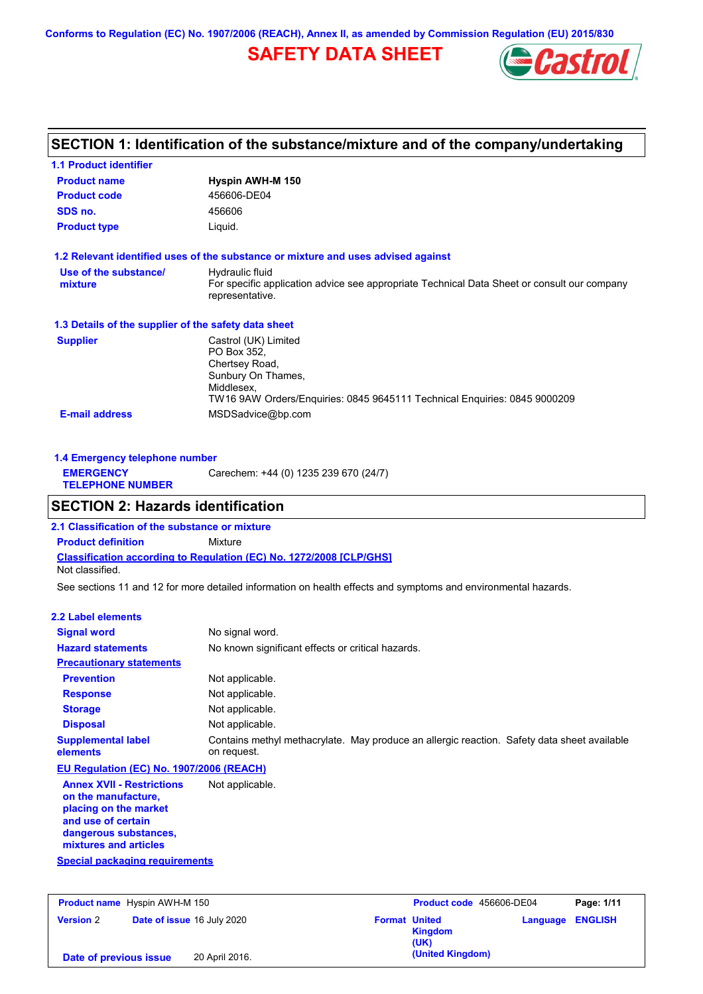**Conforms to Regulation (EC) No. 1907/2006 (REACH), Annex II, as amended by Commission Regulation (EU) 2015/830**

# **SAFETY DATA SHEET**



# **SECTION 1: Identification of the substance/mixture and of the company/undertaking**

| <b>1.1 Product identifier</b>                        |                                                                                                                |
|------------------------------------------------------|----------------------------------------------------------------------------------------------------------------|
| <b>Product name</b>                                  | Hyspin AWH-M 150                                                                                               |
| <b>Product code</b>                                  | 456606-DE04                                                                                                    |
| SDS no.                                              | 456606                                                                                                         |
| <b>Product type</b>                                  | Liquid.                                                                                                        |
|                                                      | 1.2 Relevant identified uses of the substance or mixture and uses advised against                              |
| Use of the substance/                                | Hydraulic fluid                                                                                                |
| mixture                                              | For specific application advice see appropriate Technical Data Sheet or consult our company<br>representative. |
| 1.3 Details of the supplier of the safety data sheet |                                                                                                                |
| <b>Supplier</b>                                      | Castrol (UK) Limited                                                                                           |
|                                                      | PO Box 352.                                                                                                    |
|                                                      | Chertsey Road,                                                                                                 |
|                                                      | Sunbury On Thames,<br>Middlesex,                                                                               |
|                                                      | TW16 9AW Orders/Enguiries: 0845 9645111 Technical Enguiries: 0845 9000209                                      |
| <b>E-mail address</b>                                | MSDSadvice@bp.com                                                                                              |

| 1.4 Emergency telephone number              |                                       |  |  |
|---------------------------------------------|---------------------------------------|--|--|
| <b>EMERGENCY</b><br><b>TELEPHONE NUMBER</b> | Carechem: +44 (0) 1235 239 670 (24/7) |  |  |

# **SECTION 2: Hazards identification**

**Classification according to Regulation (EC) No. 1272/2008 [CLP/GHS] 2.1 Classification of the substance or mixture Product definition** Mixture Not classified.

See sections 11 and 12 for more detailed information on health effects and symptoms and environmental hazards.

### **2.2 Label elements**

| <b>Signal word</b>                                                                                                                                       | No signal word.                                                                                            |
|----------------------------------------------------------------------------------------------------------------------------------------------------------|------------------------------------------------------------------------------------------------------------|
| <b>Hazard statements</b>                                                                                                                                 | No known significant effects or critical hazards.                                                          |
| <b>Precautionary statements</b>                                                                                                                          |                                                                                                            |
| <b>Prevention</b>                                                                                                                                        | Not applicable.                                                                                            |
| <b>Response</b>                                                                                                                                          | Not applicable.                                                                                            |
| <b>Storage</b>                                                                                                                                           | Not applicable.                                                                                            |
| <b>Disposal</b>                                                                                                                                          | Not applicable.                                                                                            |
| <b>Supplemental label</b><br>elements                                                                                                                    | Contains methyl methacrylate. May produce an allergic reaction. Safety data sheet available<br>on request. |
| EU Regulation (EC) No. 1907/2006 (REACH)                                                                                                                 |                                                                                                            |
| <b>Annex XVII - Restrictions</b><br>on the manufacture,<br>placing on the market<br>and use of certain<br>dangerous substances,<br>mixtures and articles | Not applicable.                                                                                            |
| Special packaging requirements                                                                                                                           |                                                                                                            |

| <b>Product name</b> Hyspin AWH-M 150 |                                   | Product code 456606-DE04 |                      | Page: 1/11             |                         |  |
|--------------------------------------|-----------------------------------|--------------------------|----------------------|------------------------|-------------------------|--|
| <b>Version 2</b>                     | <b>Date of issue 16 July 2020</b> |                          | <b>Format United</b> | <b>Kingdom</b><br>(UK) | <b>Language ENGLISH</b> |  |
| Date of previous issue               |                                   | 20 April 2016.           |                      | (United Kingdom)       |                         |  |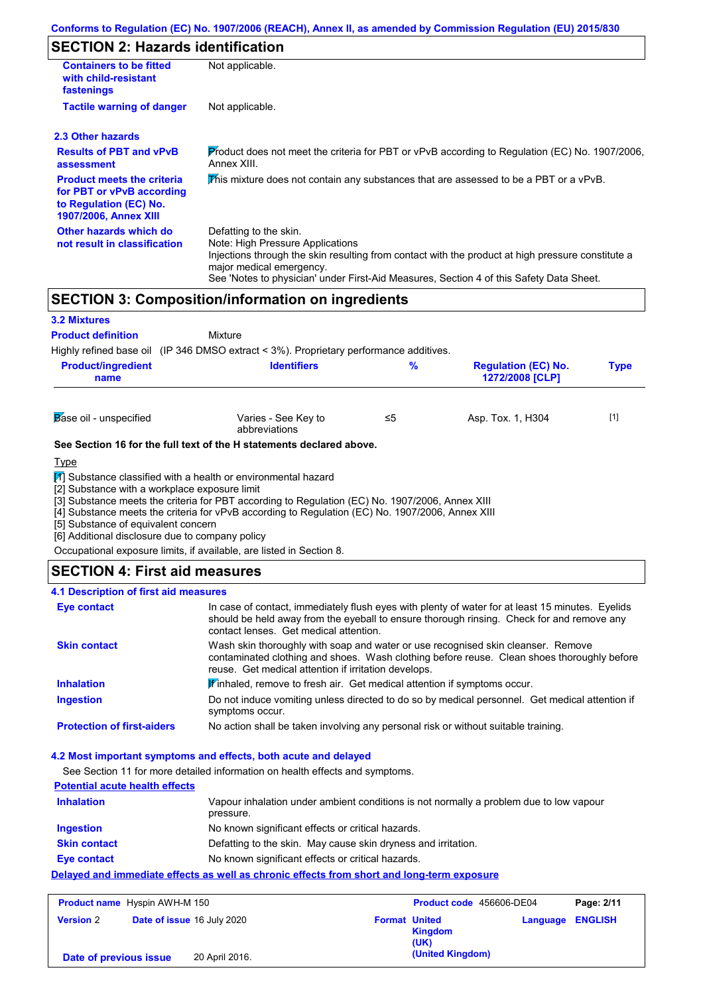# **SECTION 2: Hazards identification**

| <b>Containers to be fitted</b><br>with child-resistant<br>fastenings                                                     | Not applicable.                                                                                                                                                                                                                                                                        |
|--------------------------------------------------------------------------------------------------------------------------|----------------------------------------------------------------------------------------------------------------------------------------------------------------------------------------------------------------------------------------------------------------------------------------|
| <b>Tactile warning of danger</b>                                                                                         | Not applicable.                                                                                                                                                                                                                                                                        |
| 2.3 Other hazards                                                                                                        |                                                                                                                                                                                                                                                                                        |
| <b>Results of PBT and vPvB</b><br>assessment                                                                             | Product does not meet the criteria for PBT or vPvB according to Regulation (EC) No. 1907/2006,<br>Annex XIII.                                                                                                                                                                          |
| <b>Product meets the criteria</b><br>for PBT or vPvB according<br>to Regulation (EC) No.<br><b>1907/2006, Annex XIII</b> | This mixture does not contain any substances that are assessed to be a PBT or a vPvB.                                                                                                                                                                                                  |
| Other hazards which do<br>not result in classification                                                                   | Defatting to the skin.<br>Note: High Pressure Applications<br>Injections through the skin resulting from contact with the product at high pressure constitute a<br>major medical emergency.<br>See 'Notes to physician' under First-Aid Measures, Section 4 of this Safety Data Sheet. |

# **SECTION 3: Composition/information on ingredients**

| <b>3.2 Mixtures</b>                                                                                                                     |                                                                                                                                                                                                                                                                      |    |                                               |             |
|-----------------------------------------------------------------------------------------------------------------------------------------|----------------------------------------------------------------------------------------------------------------------------------------------------------------------------------------------------------------------------------------------------------------------|----|-----------------------------------------------|-------------|
| <b>Product definition</b>                                                                                                               | Mixture                                                                                                                                                                                                                                                              |    |                                               |             |
|                                                                                                                                         | Highly refined base oil (IP 346 DMSO extract < 3%). Proprietary performance additives.                                                                                                                                                                               |    |                                               |             |
| <b>Product/ingredient</b><br>name                                                                                                       | <b>Identifiers</b>                                                                                                                                                                                                                                                   | %  | <b>Regulation (EC) No.</b><br>1272/2008 [CLP] | <b>Type</b> |
| Base oil - unspecified                                                                                                                  | Varies - See Key to<br>abbreviations                                                                                                                                                                                                                                 | ≤5 | Asp. Tox. 1, H304                             | $[1]$       |
|                                                                                                                                         | See Section 16 for the full text of the H statements declared above.                                                                                                                                                                                                 |    |                                               |             |
| <b>Type</b>                                                                                                                             |                                                                                                                                                                                                                                                                      |    |                                               |             |
| [2] Substance with a workplace exposure limit<br>[5] Substance of equivalent concern<br>[6] Additional disclosure due to company policy | 11 Substance classified with a health or environmental hazard<br>[3] Substance meets the criteria for PBT according to Regulation (EC) No. 1907/2006, Annex XIII<br>[4] Substance meets the criteria for vPvB according to Regulation (EC) No. 1907/2006, Annex XIII |    |                                               |             |

Occupational exposure limits, if available, are listed in Section 8.

## **SECTION 4: First aid measures**

### **4.1 Description of first aid measures**

| Eye contact                       | In case of contact, immediately flush eyes with plenty of water for at least 15 minutes. Eyelids<br>should be held away from the eyeball to ensure thorough rinsing. Check for and remove any<br>contact lenses. Get medical attention. |
|-----------------------------------|-----------------------------------------------------------------------------------------------------------------------------------------------------------------------------------------------------------------------------------------|
| <b>Skin contact</b>               | Wash skin thoroughly with soap and water or use recognised skin cleanser. Remove<br>contaminated clothing and shoes. Wash clothing before reuse. Clean shoes thoroughly before<br>reuse. Get medical attention if irritation develops.  |
| <b>Inhalation</b>                 | Winhaled, remove to fresh air. Get medical attention if symptoms occur.                                                                                                                                                                 |
| <b>Ingestion</b>                  | Do not induce vomiting unless directed to do so by medical personnel. Get medical attention if<br>symptoms occur.                                                                                                                       |
| <b>Protection of first-aiders</b> | No action shall be taken involving any personal risk or without suitable training.                                                                                                                                                      |

### **4.2 Most important symptoms and effects, both acute and delayed**

See Section 11 for more detailed information on health effects and symptoms.

| <b>Potential acute health effects</b> |                                                                                                     |
|---------------------------------------|-----------------------------------------------------------------------------------------------------|
| <b>Inhalation</b>                     | Vapour inhalation under ambient conditions is not normally a problem due to low vapour<br>pressure. |
| Ingestion                             | No known significant effects or critical hazards.                                                   |
| <b>Skin contact</b>                   | Defatting to the skin. May cause skin dryness and irritation.                                       |
| Eye contact                           | No known significant effects or critical hazards.                                                   |
|                                       | Delayed and immediate effects as well as chronic effects from short and long-term exposure          |

| <b>Product name</b> Hyspin AWH-M 150 |                                   |                | Product code 456606-DE04 |                        | Page: 2/11              |  |
|--------------------------------------|-----------------------------------|----------------|--------------------------|------------------------|-------------------------|--|
| <b>Version 2</b>                     | <b>Date of issue 16 July 2020</b> |                | <b>Format United</b>     | <b>Kingdom</b><br>(UK) | <b>Language ENGLISH</b> |  |
| Date of previous issue               |                                   | 20 April 2016. |                          | (United Kingdom)       |                         |  |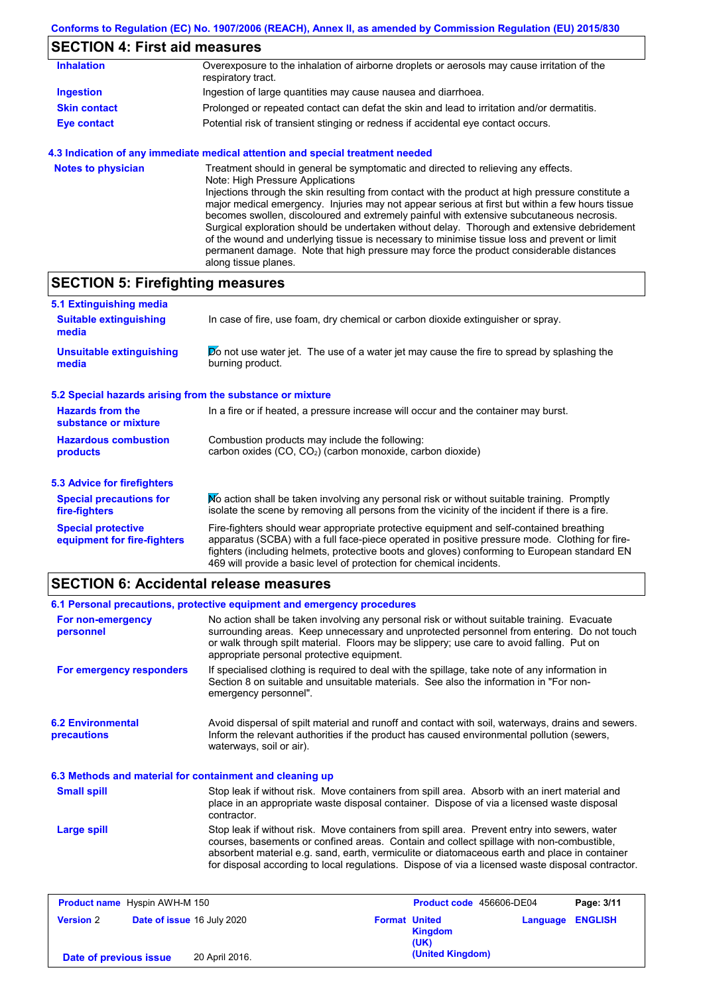# **SECTION 4: First aid measures**

| <b>Inhalation</b>   | Overexposure to the inhalation of airborne droplets or aerosols may cause irritation of the<br>respiratory tract. |
|---------------------|-------------------------------------------------------------------------------------------------------------------|
| Ingestion           | Ingestion of large quantities may cause nausea and diarrhoea.                                                     |
| <b>Skin contact</b> | Prolonged or repeated contact can defat the skin and lead to irritation and/or dermatitis.                        |
| <b>Eye contact</b>  | Potential risk of transient stinging or redness if accidental eye contact occurs.                                 |

### **4.3 Indication of any immediate medical attention and special treatment needed**

| <b>Notes to physician</b> | Treatment should in general be symptomatic and directed to relieving any effects.<br>Note: High Pressure Applications<br>Injections through the skin resulting from contact with the product at high pressure constitute a<br>major medical emergency. Injuries may not appear serious at first but within a few hours tissue<br>becomes swollen, discoloured and extremely painful with extensive subcutaneous necrosis.<br>Surgical exploration should be undertaken without delay. Thorough and extensive debridement<br>of the wound and underlying tissue is necessary to minimise tissue loss and prevent or limit<br>permanent damage. Note that high pressure may force the product considerable distances |
|---------------------------|--------------------------------------------------------------------------------------------------------------------------------------------------------------------------------------------------------------------------------------------------------------------------------------------------------------------------------------------------------------------------------------------------------------------------------------------------------------------------------------------------------------------------------------------------------------------------------------------------------------------------------------------------------------------------------------------------------------------|
|                           | along tissue planes.                                                                                                                                                                                                                                                                                                                                                                                                                                                                                                                                                                                                                                                                                               |

# **SECTION 5: Firefighting measures**

| 5.1 Extinguishing media                                                                                                                                             |                                                                                                                                                                                                                                                                                                                                                                   |  |  |
|---------------------------------------------------------------------------------------------------------------------------------------------------------------------|-------------------------------------------------------------------------------------------------------------------------------------------------------------------------------------------------------------------------------------------------------------------------------------------------------------------------------------------------------------------|--|--|
| <b>Suitable extinguishing</b><br>media                                                                                                                              | In case of fire, use foam, dry chemical or carbon dioxide extinguisher or spray.                                                                                                                                                                                                                                                                                  |  |  |
| <b>Unsuitable extinguishing</b><br>media                                                                                                                            | Do not use water jet. The use of a water jet may cause the fire to spread by splashing the<br>burning product.                                                                                                                                                                                                                                                    |  |  |
| 5.2 Special hazards arising from the substance or mixture                                                                                                           |                                                                                                                                                                                                                                                                                                                                                                   |  |  |
| <b>Hazards from the</b><br>substance or mixture                                                                                                                     | In a fire or if heated, a pressure increase will occur and the container may burst.                                                                                                                                                                                                                                                                               |  |  |
| <b>Hazardous combustion</b><br>Combustion products may include the following:<br>carbon oxides (CO, CO <sub>2</sub> ) (carbon monoxide, carbon dioxide)<br>products |                                                                                                                                                                                                                                                                                                                                                                   |  |  |
| <b>5.3 Advice for firefighters</b>                                                                                                                                  |                                                                                                                                                                                                                                                                                                                                                                   |  |  |
| <b>Special precautions for</b><br>fire-fighters                                                                                                                     | No action shall be taken involving any personal risk or without suitable training. Promptly<br>isolate the scene by removing all persons from the vicinity of the incident if there is a fire.                                                                                                                                                                    |  |  |
| <b>Special protective</b><br>equipment for fire-fighters                                                                                                            | Fire-fighters should wear appropriate protective equipment and self-contained breathing<br>apparatus (SCBA) with a full face-piece operated in positive pressure mode. Clothing for fire-<br>fighters (including helmets, protective boots and gloves) conforming to European standard EN<br>469 will provide a basic level of protection for chemical incidents. |  |  |

# **SECTION 6: Accidental release measures**

|                                                                                                                                                                                                                                                                                                                                                                       | 6.1 Personal precautions, protective equipment and emergency procedures                                                                                                                                                                                                                                                                                                                        |  |  |
|-----------------------------------------------------------------------------------------------------------------------------------------------------------------------------------------------------------------------------------------------------------------------------------------------------------------------------------------------------------------------|------------------------------------------------------------------------------------------------------------------------------------------------------------------------------------------------------------------------------------------------------------------------------------------------------------------------------------------------------------------------------------------------|--|--|
| No action shall be taken involving any personal risk or without suitable training. Evacuate<br>For non-emergency<br>surrounding areas. Keep unnecessary and unprotected personnel from entering. Do not touch<br>personnel<br>or walk through spilt material. Floors may be slippery; use care to avoid falling. Put on<br>appropriate personal protective equipment. |                                                                                                                                                                                                                                                                                                                                                                                                |  |  |
| For emergency responders                                                                                                                                                                                                                                                                                                                                              | If specialised clothing is required to deal with the spillage, take note of any information in<br>Section 8 on suitable and unsuitable materials. See also the information in "For non-<br>emergency personnel".                                                                                                                                                                               |  |  |
| <b>6.2 Environmental</b><br>Avoid dispersal of spilt material and runoff and contact with soil, waterways, drains and sewers.<br>Inform the relevant authorities if the product has caused environmental pollution (sewers,<br>precautions<br>waterways, soil or air).                                                                                                |                                                                                                                                                                                                                                                                                                                                                                                                |  |  |
| 6.3 Methods and material for containment and cleaning up                                                                                                                                                                                                                                                                                                              |                                                                                                                                                                                                                                                                                                                                                                                                |  |  |
| <b>Small spill</b>                                                                                                                                                                                                                                                                                                                                                    | Stop leak if without risk. Move containers from spill area. Absorb with an inert material and<br>place in an appropriate waste disposal container. Dispose of via a licensed waste disposal<br>contractor.                                                                                                                                                                                     |  |  |
| <b>Large spill</b>                                                                                                                                                                                                                                                                                                                                                    | Stop leak if without risk. Move containers from spill area. Prevent entry into sewers, water<br>courses, basements or confined areas. Contain and collect spillage with non-combustible,<br>absorbent material e.g. sand, earth, vermiculite or diatomaceous earth and place in container<br>for disposal according to local regulations. Dispose of via a licensed waste disposal contractor. |  |  |

| <b>Product name</b> Hyspin AWH-M 150 |                            |                |                      | Product code 456606-DE04 |                         | Page: 3/11 |
|--------------------------------------|----------------------------|----------------|----------------------|--------------------------|-------------------------|------------|
| <b>Version 2</b>                     | Date of issue 16 July 2020 |                | <b>Format United</b> | <b>Kingdom</b><br>(UK)   | <b>Language ENGLISH</b> |            |
| Date of previous issue               |                            | 20 April 2016. |                      | (United Kingdom)         |                         |            |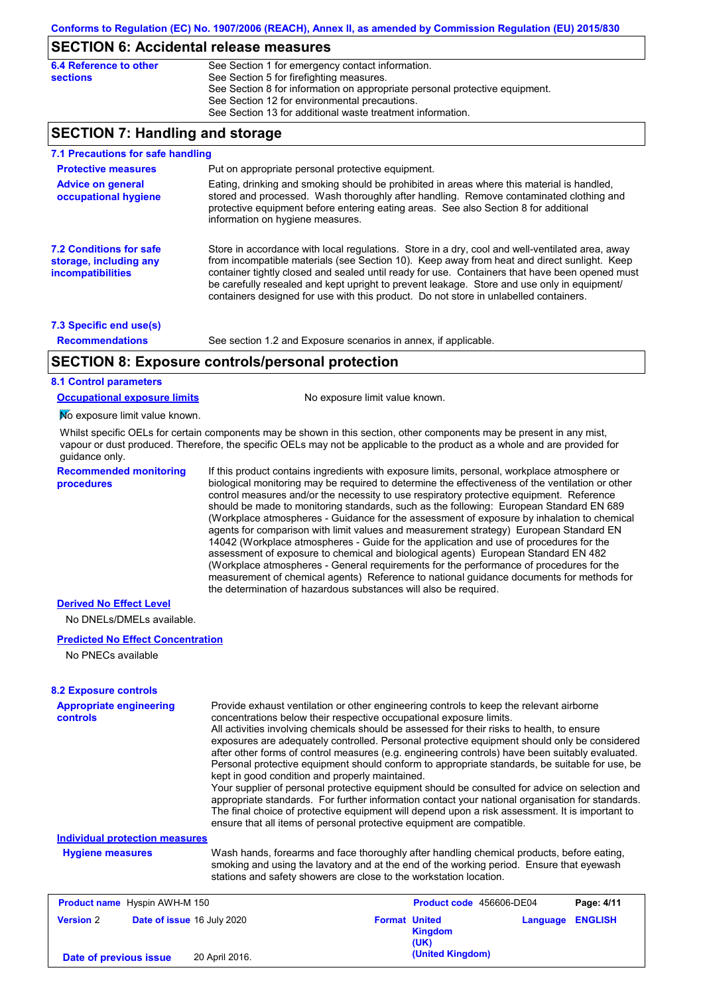## **SECTION 6: Accidental release measures**

## **SECTION 7: Handling and storage**

| 7.1 Precautions for safe handling                                             |                                                                                                                                                                                                                                                                                                                                                                                                                                                                                          |
|-------------------------------------------------------------------------------|------------------------------------------------------------------------------------------------------------------------------------------------------------------------------------------------------------------------------------------------------------------------------------------------------------------------------------------------------------------------------------------------------------------------------------------------------------------------------------------|
| <b>Protective measures</b>                                                    | Put on appropriate personal protective equipment.                                                                                                                                                                                                                                                                                                                                                                                                                                        |
| <b>Advice on general</b><br>occupational hygiene                              | Eating, drinking and smoking should be prohibited in areas where this material is handled.<br>stored and processed. Wash thoroughly after handling. Remove contaminated clothing and<br>protective equipment before entering eating areas. See also Section 8 for additional<br>information on hygiene measures.                                                                                                                                                                         |
| <b>7.2 Conditions for safe</b><br>storage, including any<br>incompatibilities | Store in accordance with local requiations. Store in a dry, cool and well-ventilated area, away<br>from incompatible materials (see Section 10). Keep away from heat and direct sunlight. Keep<br>container tightly closed and sealed until ready for use. Containers that have been opened must<br>be carefully resealed and kept upright to prevent leakage. Store and use only in equipment/<br>containers designed for use with this product. Do not store in unlabelled containers. |
| 7.3 Specific end use(s)                                                       |                                                                                                                                                                                                                                                                                                                                                                                                                                                                                          |
| <b>Recommendations</b>                                                        | See section 1.2 and Exposure scenarios in annex, if applicable.                                                                                                                                                                                                                                                                                                                                                                                                                          |

## **SECTION 8: Exposure controls/personal protection**

**8.1 Control parameters**

**Occupational exposure limits** No exposure limit value known.

No exposure limit value known.

Whilst specific OELs for certain components may be shown in this section, other components may be present in any mist, vapour or dust produced. Therefore, the specific OELs may not be applicable to the product as a whole and are provided for guidance only.

**Recommended monitoring procedures**

If this product contains ingredients with exposure limits, personal, workplace atmosphere or biological monitoring may be required to determine the effectiveness of the ventilation or other control measures and/or the necessity to use respiratory protective equipment. Reference should be made to monitoring standards, such as the following: European Standard EN 689 (Workplace atmospheres - Guidance for the assessment of exposure by inhalation to chemical agents for comparison with limit values and measurement strategy) European Standard EN 14042 (Workplace atmospheres - Guide for the application and use of procedures for the assessment of exposure to chemical and biological agents) European Standard EN 482 (Workplace atmospheres - General requirements for the performance of procedures for the measurement of chemical agents) Reference to national guidance documents for methods for the determination of hazardous substances will also be required.

#### **Derived No Effect Level**

No DNELs/DMELs available.

#### **Predicted No Effect Concentration**

No PNECs available

| <b>8.2 Exposure controls</b><br><b>Appropriate engineering</b><br><b>controls</b> |                                                                                                                                                                                                                                                             | Provide exhaust ventilation or other engineering controls to keep the relevant airborne<br>concentrations below their respective occupational exposure limits.<br>All activities involving chemicals should be assessed for their risks to health, to ensure<br>exposures are adequately controlled. Personal protective equipment should only be considered<br>after other forms of control measures (e.g. engineering controls) have been suitably evaluated.<br>Personal protective equipment should conform to appropriate standards, be suitable for use, be<br>kept in good condition and properly maintained.<br>Your supplier of personal protective equipment should be consulted for advice on selection and<br>appropriate standards. For further information contact your national organisation for standards. |                |                                 |                |  |
|-----------------------------------------------------------------------------------|-------------------------------------------------------------------------------------------------------------------------------------------------------------------------------------------------------------------------------------------------------------|----------------------------------------------------------------------------------------------------------------------------------------------------------------------------------------------------------------------------------------------------------------------------------------------------------------------------------------------------------------------------------------------------------------------------------------------------------------------------------------------------------------------------------------------------------------------------------------------------------------------------------------------------------------------------------------------------------------------------------------------------------------------------------------------------------------------------|----------------|---------------------------------|----------------|--|
|                                                                                   | The final choice of protective equipment will depend upon a risk assessment. It is important to<br>ensure that all items of personal protective equipment are compatible.                                                                                   |                                                                                                                                                                                                                                                                                                                                                                                                                                                                                                                                                                                                                                                                                                                                                                                                                            |                |                                 |                |  |
| <b>Individual protection measures</b>                                             |                                                                                                                                                                                                                                                             |                                                                                                                                                                                                                                                                                                                                                                                                                                                                                                                                                                                                                                                                                                                                                                                                                            |                |                                 |                |  |
| <b>Hygiene measures</b>                                                           | Wash hands, forearms and face thoroughly after handling chemical products, before eating,<br>smoking and using the lavatory and at the end of the working period. Ensure that eyewash<br>stations and safety showers are close to the workstation location. |                                                                                                                                                                                                                                                                                                                                                                                                                                                                                                                                                                                                                                                                                                                                                                                                                            |                |                                 |                |  |
| <b>Product name</b> Hyspin AWH-M 150                                              |                                                                                                                                                                                                                                                             |                                                                                                                                                                                                                                                                                                                                                                                                                                                                                                                                                                                                                                                                                                                                                                                                                            |                | <b>Product code</b> 456606-DE04 | Page: 4/11     |  |
| <b>Version 2</b>                                                                  | Date of issue 16 July 2020                                                                                                                                                                                                                                  | <b>Format United</b><br>(UK)                                                                                                                                                                                                                                                                                                                                                                                                                                                                                                                                                                                                                                                                                                                                                                                               | <b>Kingdom</b> | Language                        | <b>ENGLISH</b> |  |

**(United Kingdom) Date of previous issue** 20 April 2016.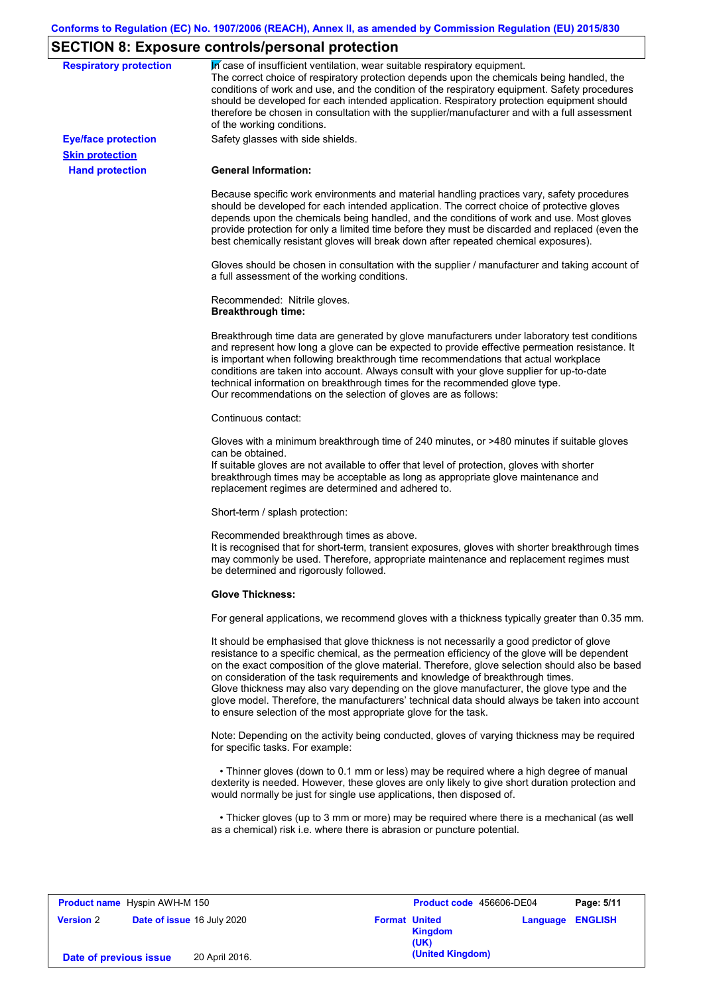# **SECTION 8: Exposure controls/personal protection**

| <b>Respiratory protection</b> | In case of insufficient ventilation, wear suitable respiratory equipment.<br>The correct choice of respiratory protection depends upon the chemicals being handled, the<br>conditions of work and use, and the condition of the respiratory equipment. Safety procedures<br>should be developed for each intended application. Respiratory protection equipment should<br>therefore be chosen in consultation with the supplier/manufacturer and with a full assessment<br>of the working conditions.                                                                                                                                             |
|-------------------------------|---------------------------------------------------------------------------------------------------------------------------------------------------------------------------------------------------------------------------------------------------------------------------------------------------------------------------------------------------------------------------------------------------------------------------------------------------------------------------------------------------------------------------------------------------------------------------------------------------------------------------------------------------|
| <b>Eye/face protection</b>    | Safety glasses with side shields.                                                                                                                                                                                                                                                                                                                                                                                                                                                                                                                                                                                                                 |
| <b>Skin protection</b>        |                                                                                                                                                                                                                                                                                                                                                                                                                                                                                                                                                                                                                                                   |
| <b>Hand protection</b>        | <b>General Information:</b>                                                                                                                                                                                                                                                                                                                                                                                                                                                                                                                                                                                                                       |
|                               | Because specific work environments and material handling practices vary, safety procedures<br>should be developed for each intended application. The correct choice of protective gloves<br>depends upon the chemicals being handled, and the conditions of work and use. Most gloves<br>provide protection for only a limited time before they must be discarded and replaced (even the<br>best chemically resistant gloves will break down after repeated chemical exposures).                                                                                                                                                                  |
|                               | Gloves should be chosen in consultation with the supplier / manufacturer and taking account of<br>a full assessment of the working conditions.                                                                                                                                                                                                                                                                                                                                                                                                                                                                                                    |
|                               | Recommended: Nitrile gloves.<br><b>Breakthrough time:</b>                                                                                                                                                                                                                                                                                                                                                                                                                                                                                                                                                                                         |
|                               | Breakthrough time data are generated by glove manufacturers under laboratory test conditions<br>and represent how long a glove can be expected to provide effective permeation resistance. It<br>is important when following breakthrough time recommendations that actual workplace<br>conditions are taken into account. Always consult with your glove supplier for up-to-date<br>technical information on breakthrough times for the recommended glove type.<br>Our recommendations on the selection of gloves are as follows:                                                                                                                |
|                               | Continuous contact:                                                                                                                                                                                                                                                                                                                                                                                                                                                                                                                                                                                                                               |
|                               | Gloves with a minimum breakthrough time of 240 minutes, or >480 minutes if suitable gloves<br>can be obtained.<br>If suitable gloves are not available to offer that level of protection, gloves with shorter<br>breakthrough times may be acceptable as long as appropriate glove maintenance and<br>replacement regimes are determined and adhered to.                                                                                                                                                                                                                                                                                          |
|                               | Short-term / splash protection:                                                                                                                                                                                                                                                                                                                                                                                                                                                                                                                                                                                                                   |
|                               | Recommended breakthrough times as above.<br>It is recognised that for short-term, transient exposures, gloves with shorter breakthrough times<br>may commonly be used. Therefore, appropriate maintenance and replacement regimes must<br>be determined and rigorously followed.                                                                                                                                                                                                                                                                                                                                                                  |
|                               | <b>Glove Thickness:</b>                                                                                                                                                                                                                                                                                                                                                                                                                                                                                                                                                                                                                           |
|                               | For general applications, we recommend gloves with a thickness typically greater than 0.35 mm.                                                                                                                                                                                                                                                                                                                                                                                                                                                                                                                                                    |
|                               | It should be emphasised that glove thickness is not necessarily a good predictor of glove<br>resistance to a specific chemical, as the permeation efficiency of the glove will be dependent<br>on the exact composition of the glove material. Therefore, glove selection should also be based<br>on consideration of the task requirements and knowledge of breakthrough times.<br>Glove thickness may also vary depending on the glove manufacturer, the glove type and the<br>glove model. Therefore, the manufacturers' technical data should always be taken into account<br>to ensure selection of the most appropriate glove for the task. |
|                               | Note: Depending on the activity being conducted, gloves of varying thickness may be required<br>for specific tasks. For example:                                                                                                                                                                                                                                                                                                                                                                                                                                                                                                                  |
|                               | • Thinner gloves (down to 0.1 mm or less) may be required where a high degree of manual<br>dexterity is needed. However, these gloves are only likely to give short duration protection and<br>would normally be just for single use applications, then disposed of.                                                                                                                                                                                                                                                                                                                                                                              |
|                               | • Thicker gloves (up to 3 mm or more) may be required where there is a mechanical (as well                                                                                                                                                                                                                                                                                                                                                                                                                                                                                                                                                        |

| <b>Product name</b> Hyspin AWH-M 150 |  |                            | Product code 456606-DE04 |                                                | Page: 5/11              |  |
|--------------------------------------|--|----------------------------|--------------------------|------------------------------------------------|-------------------------|--|
| <b>Version 2</b>                     |  | Date of issue 16 July 2020 |                          | <b>Format United</b><br><b>Kingdom</b><br>(UK) | <b>Language ENGLISH</b> |  |
| Date of previous issue               |  | 20 April 2016.             |                          | (United Kingdom)                               |                         |  |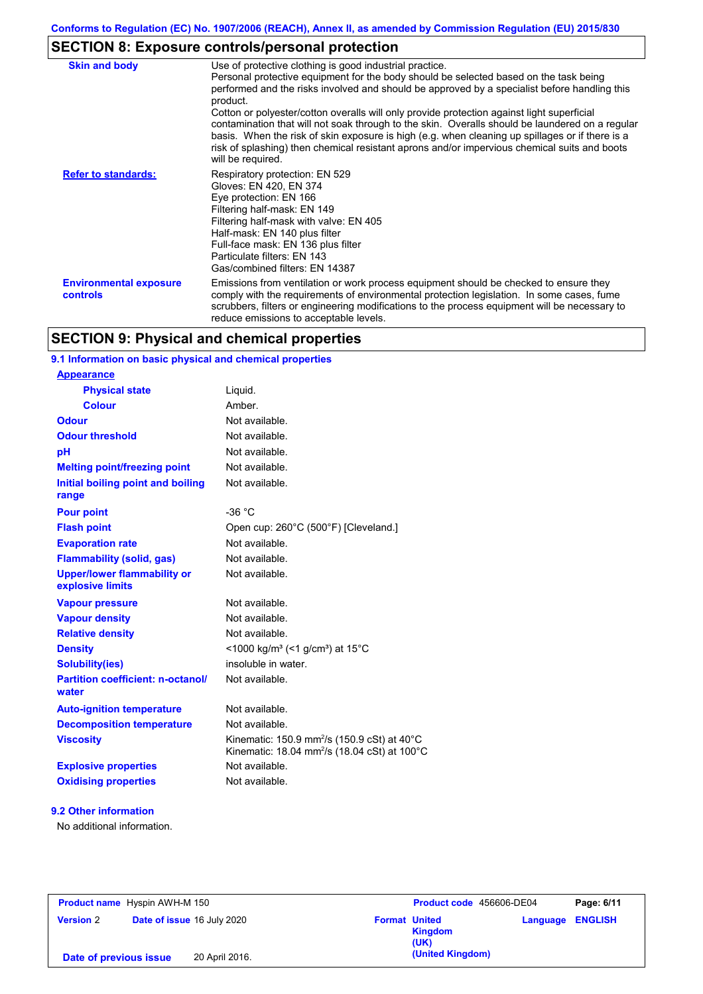# **SECTION 8: Exposure controls/personal protection**

| <b>Skin and body</b>                             | Use of protective clothing is good industrial practice.<br>Personal protective equipment for the body should be selected based on the task being<br>performed and the risks involved and should be approved by a specialist before handling this<br>product.<br>Cotton or polyester/cotton overalls will only provide protection against light superficial<br>contamination that will not soak through to the skin. Overalls should be laundered on a regular<br>basis. When the risk of skin exposure is high (e.g. when cleaning up spillages or if there is a<br>risk of splashing) then chemical resistant aprons and/or impervious chemical suits and boots<br>will be required. |
|--------------------------------------------------|---------------------------------------------------------------------------------------------------------------------------------------------------------------------------------------------------------------------------------------------------------------------------------------------------------------------------------------------------------------------------------------------------------------------------------------------------------------------------------------------------------------------------------------------------------------------------------------------------------------------------------------------------------------------------------------|
| <b>Refer to standards:</b>                       | Respiratory protection: EN 529<br>Gloves: EN 420, EN 374<br>Eye protection: EN 166<br>Filtering half-mask: EN 149<br>Filtering half-mask with valve: EN 405<br>Half-mask: EN 140 plus filter<br>Full-face mask: EN 136 plus filter<br>Particulate filters: EN 143<br>Gas/combined filters: EN 14387                                                                                                                                                                                                                                                                                                                                                                                   |
| <b>Environmental exposure</b><br><b>controls</b> | Emissions from ventilation or work process equipment should be checked to ensure they<br>comply with the requirements of environmental protection legislation. In some cases, fume<br>scrubbers, filters or engineering modifications to the process equipment will be necessary to<br>reduce emissions to acceptable levels.                                                                                                                                                                                                                                                                                                                                                         |

# **SECTION 9: Physical and chemical properties**

## **9.1 Information on basic physical and chemical properties**

| <b>Appearance</b>                                      |                                                                                                                                |
|--------------------------------------------------------|--------------------------------------------------------------------------------------------------------------------------------|
| <b>Physical state</b>                                  | Liguid.                                                                                                                        |
| Colour                                                 | Amber                                                                                                                          |
| Odour                                                  | Not available.                                                                                                                 |
| <b>Odour threshold</b>                                 | Not available.                                                                                                                 |
| pH                                                     | Not available.                                                                                                                 |
| <b>Melting point/freezing point</b>                    | Not available.                                                                                                                 |
| Initial boiling point and boiling<br>range             | Not available.                                                                                                                 |
| <b>Pour point</b>                                      | $-36 °C$                                                                                                                       |
| <b>Flash point</b>                                     | Open cup: 260°C (500°F) [Cleveland.]                                                                                           |
| <b>Evaporation rate</b>                                | Not available.                                                                                                                 |
| <b>Flammability (solid, gas)</b>                       | Not available.                                                                                                                 |
| <b>Upper/lower flammability or</b><br>explosive limits | Not available.                                                                                                                 |
| <b>Vapour pressure</b>                                 | Not available.                                                                                                                 |
| <b>Vapour density</b>                                  | Not available.                                                                                                                 |
| <b>Relative density</b>                                | Not available.                                                                                                                 |
| <b>Density</b>                                         | <1000 kg/m <sup>3</sup> (<1 g/cm <sup>3</sup> ) at 15 <sup>°</sup> C                                                           |
| <b>Solubility(ies)</b>                                 | insoluble in water.                                                                                                            |
| <b>Partition coefficient: n-octanol/</b><br>water      | Not available.                                                                                                                 |
| <b>Auto-ignition temperature</b>                       | Not available.                                                                                                                 |
| <b>Decomposition temperature</b>                       | Not available.                                                                                                                 |
| <b>Viscosity</b>                                       | Kinematic: 150.9 mm <sup>2</sup> /s (150.9 cSt) at 40 $^{\circ}$ C<br>Kinematic: 18.04 mm <sup>2</sup> /s (18.04 cSt) at 100°C |
| <b>Explosive properties</b>                            | Not available                                                                                                                  |
| <b>Oxidising properties</b>                            | Not available.                                                                                                                 |

#### **9.2 Other information**

No additional information.

| <b>Product name</b> Hyspin AWH-M 150 |                            |                | Product code 456606-DE04 |                        | Page: 6/11 |                |
|--------------------------------------|----------------------------|----------------|--------------------------|------------------------|------------|----------------|
| <b>Version 2</b>                     | Date of issue 16 July 2020 |                | <b>Format United</b>     | <b>Kingdom</b><br>(UK) | Language   | <b>ENGLISH</b> |
| Date of previous issue               |                            | 20 April 2016. |                          | (United Kingdom)       |            |                |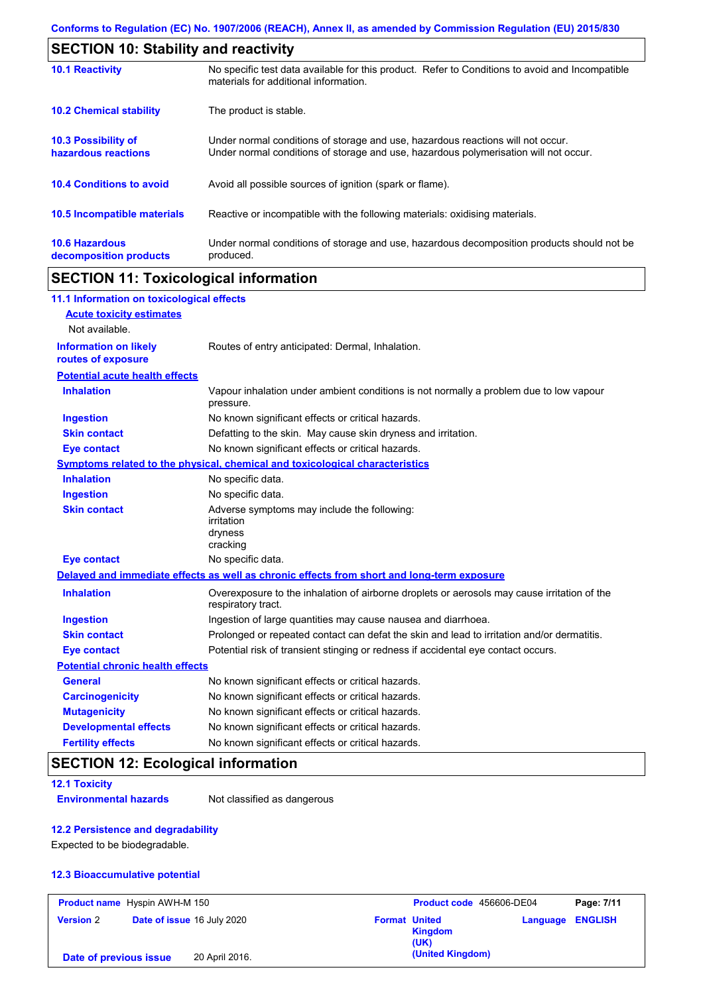| <b>SECTION 10: Stability and reactivity</b>       |                                                                                                                                                                         |  |  |  |
|---------------------------------------------------|-------------------------------------------------------------------------------------------------------------------------------------------------------------------------|--|--|--|
| <b>10.1 Reactivity</b>                            | No specific test data available for this product. Refer to Conditions to avoid and Incompatible<br>materials for additional information.                                |  |  |  |
| <b>10.2 Chemical stability</b>                    | The product is stable.                                                                                                                                                  |  |  |  |
| <b>10.3 Possibility of</b><br>hazardous reactions | Under normal conditions of storage and use, hazardous reactions will not occur.<br>Under normal conditions of storage and use, hazardous polymerisation will not occur. |  |  |  |
| <b>10.4 Conditions to avoid</b>                   | Avoid all possible sources of ignition (spark or flame).                                                                                                                |  |  |  |
| 10.5 Incompatible materials                       | Reactive or incompatible with the following materials: oxidising materials.                                                                                             |  |  |  |
| <b>10.6 Hazardous</b><br>decomposition products   | Under normal conditions of storage and use, hazardous decomposition products should not be<br>produced.                                                                 |  |  |  |

# **SECTION 11: Toxicological information**

| 11.1 Information on toxicological effects          |                                                                                                                   |
|----------------------------------------------------|-------------------------------------------------------------------------------------------------------------------|
| <b>Acute toxicity estimates</b>                    |                                                                                                                   |
| Not available.                                     |                                                                                                                   |
| <b>Information on likely</b><br>routes of exposure | Routes of entry anticipated: Dermal, Inhalation.                                                                  |
| <b>Potential acute health effects</b>              |                                                                                                                   |
| <b>Inhalation</b>                                  | Vapour inhalation under ambient conditions is not normally a problem due to low vapour<br>pressure.               |
| <b>Ingestion</b>                                   | No known significant effects or critical hazards.                                                                 |
| <b>Skin contact</b>                                | Defatting to the skin. May cause skin dryness and irritation.                                                     |
| <b>Eye contact</b>                                 | No known significant effects or critical hazards.                                                                 |
|                                                    | Symptoms related to the physical, chemical and toxicological characteristics                                      |
| <b>Inhalation</b>                                  | No specific data.                                                                                                 |
| <b>Ingestion</b>                                   | No specific data.                                                                                                 |
| <b>Skin contact</b>                                | Adverse symptoms may include the following:<br>irritation<br>dryness<br>cracking                                  |
| <b>Eye contact</b>                                 | No specific data.                                                                                                 |
|                                                    | Delayed and immediate effects as well as chronic effects from short and long-term exposure                        |
| <b>Inhalation</b>                                  | Overexposure to the inhalation of airborne droplets or aerosols may cause irritation of the<br>respiratory tract. |
| <b>Ingestion</b>                                   | Ingestion of large quantities may cause nausea and diarrhoea.                                                     |
| <b>Skin contact</b>                                | Prolonged or repeated contact can defat the skin and lead to irritation and/or dermatitis.                        |
| <b>Eye contact</b>                                 | Potential risk of transient stinging or redness if accidental eye contact occurs.                                 |
| <b>Potential chronic health effects</b>            |                                                                                                                   |
| <b>General</b>                                     | No known significant effects or critical hazards.                                                                 |
| <b>Carcinogenicity</b>                             | No known significant effects or critical hazards.                                                                 |
| <b>Mutagenicity</b>                                | No known significant effects or critical hazards.                                                                 |
| <b>Developmental effects</b>                       | No known significant effects or critical hazards.                                                                 |
| <b>Fertility effects</b>                           | No known significant effects or critical hazards.                                                                 |

# **SECTION 12: Ecological information**

**12.1 Toxicity**

**Environmental hazards** Not classified as dangerous

## **12.2 Persistence and degradability**

Expected to be biodegradable.

#### **12.3 Bioaccumulative potential**

| <b>Product name</b> Hyspin AWH-M 150 |  |                            | Product code 456606-DE04 |                        | Page: 7/11              |  |
|--------------------------------------|--|----------------------------|--------------------------|------------------------|-------------------------|--|
| <b>Version 2</b>                     |  | Date of issue 16 July 2020 | <b>Format United</b>     | <b>Kingdom</b><br>(UK) | <b>Language ENGLISH</b> |  |
| Date of previous issue               |  | 20 April 2016.             |                          | (United Kingdom)       |                         |  |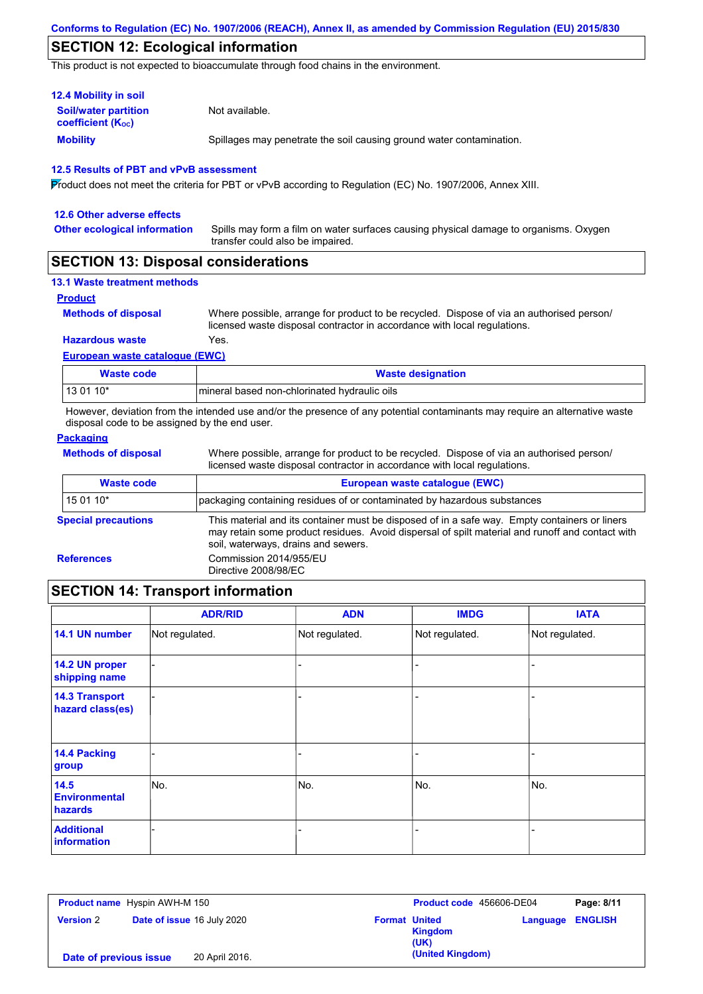## **SECTION 12: Ecological information**

This product is not expected to bioaccumulate through food chains in the environment.

| <b>12.4 Mobility in soil</b>                            |                                                                      |
|---------------------------------------------------------|----------------------------------------------------------------------|
| <b>Soil/water partition</b><br><b>coefficient (Koc)</b> | Not available.                                                       |
| <b>Mobility</b>                                         | Spillages may penetrate the soil causing ground water contamination. |

#### **12.5 Results of PBT and vPvB assessment**

Product does not meet the criteria for PBT or vPvB according to Regulation (EC) No. 1907/2006, Annex XIII.

| 12.6 Other adverse effects          |                                                                                                                           |
|-------------------------------------|---------------------------------------------------------------------------------------------------------------------------|
| <b>Other ecological information</b> | Spills may form a film on water surfaces causing physical damage to organisms. Oxygen<br>transfer could also be impaired. |

## **SECTION 13: Disposal considerations**

| <b>13.1 Waste treatment methods</b> |  |
|-------------------------------------|--|
|-------------------------------------|--|

#### **Product**

**Methods of disposal**

Where possible, arrange for product to be recycled. Dispose of via an authorised person/ licensed waste disposal contractor in accordance with local regulations.

#### **Hazardous waste** Yes.

**European waste catalogue (EWC)**

| Waste code  | <b>Waste designation</b>                     |
|-------------|----------------------------------------------|
| l 13 01 10* | mineral based non-chlorinated hydraulic oils |

However, deviation from the intended use and/or the presence of any potential contaminants may require an alternative waste disposal code to be assigned by the end user.

### **Packaging**

**Methods of disposal**

Where possible, arrange for product to be recycled. Dispose of via an authorised person/ licensed waste disposal contractor in accordance with local regulations.

| <b>Waste code</b>          | European waste catalogue (EWC)                                                                                                                                                                                                          |  |  |  |
|----------------------------|-----------------------------------------------------------------------------------------------------------------------------------------------------------------------------------------------------------------------------------------|--|--|--|
| 15 01 10*                  | packaging containing residues of or contaminated by hazardous substances                                                                                                                                                                |  |  |  |
| <b>Special precautions</b> | This material and its container must be disposed of in a safe way. Empty containers or liners<br>may retain some product residues. Avoid dispersal of spilt material and runoff and contact with<br>soil, waterways, drains and sewers. |  |  |  |
| <b>References</b>          | Commission 2014/955/EU<br>Directive 2008/98/EC                                                                                                                                                                                          |  |  |  |
|                            |                                                                                                                                                                                                                                         |  |  |  |

# **SECTION 14: Transport information**

|                                           | <b>ADR/RID</b> | <b>ADN</b>     | <b>IMDG</b>    | <b>IATA</b>    |
|-------------------------------------------|----------------|----------------|----------------|----------------|
| 14.1 UN number                            | Not regulated. | Not regulated. | Not regulated. | Not regulated. |
| 14.2 UN proper<br>shipping name           |                |                | -              |                |
| <b>14.3 Transport</b><br>hazard class(es) |                |                | -              |                |
| <b>14.4 Packing</b><br>group              |                |                | -              |                |
| 14.5<br><b>Environmental</b><br>hazards   | No.            | No.            | No.            | No.            |
| <b>Additional</b><br><b>information</b>   |                |                |                |                |

| <b>Product name</b> Hyspin AWH-M 150 |                                   |                | Product code 456606-DE04 |                        | Page: 8/11              |  |
|--------------------------------------|-----------------------------------|----------------|--------------------------|------------------------|-------------------------|--|
| <b>Version 2</b>                     | <b>Date of issue 16 July 2020</b> |                | <b>Format United</b>     | <b>Kingdom</b><br>(UK) | <b>Language ENGLISH</b> |  |
| Date of previous issue               |                                   | 20 April 2016. |                          | (United Kingdom)       |                         |  |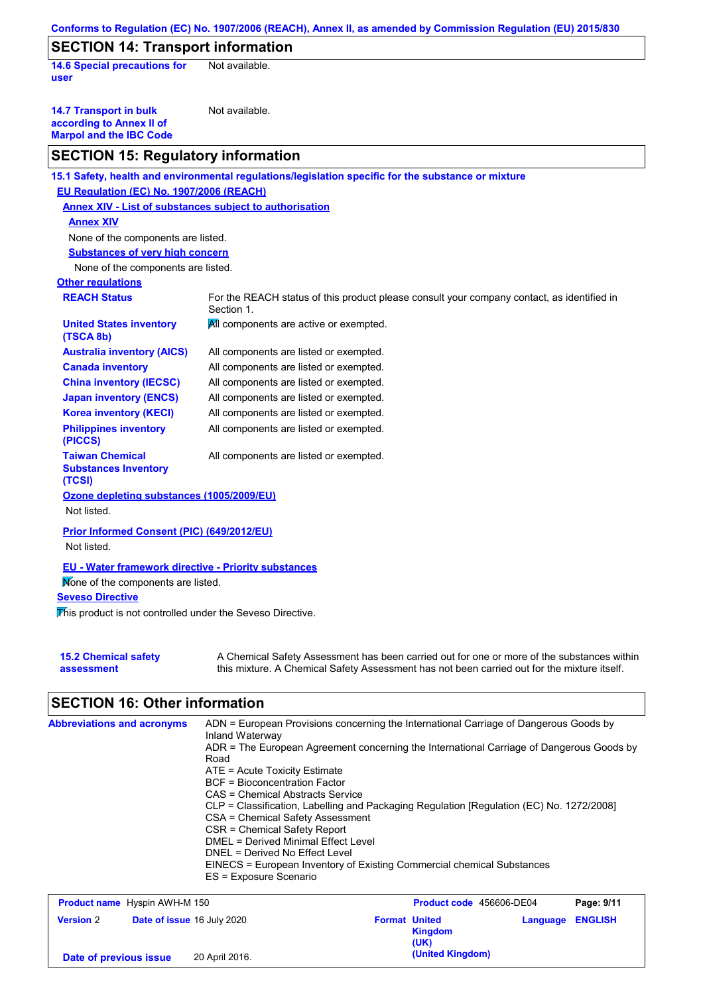|                                                                                             | Conforms to Regulation (EC) No. 1907/2006 (REACH), Annex II, as amended by Commission Regulation (EU) 2015/830                                                                            |
|---------------------------------------------------------------------------------------------|-------------------------------------------------------------------------------------------------------------------------------------------------------------------------------------------|
| <b>SECTION 14: Transport information</b>                                                    |                                                                                                                                                                                           |
| <b>14.6 Special precautions for</b><br>user                                                 | Not available.                                                                                                                                                                            |
| <b>14.7 Transport in bulk</b><br>according to Annex II of<br><b>Marpol and the IBC Code</b> | Not available.                                                                                                                                                                            |
| <b>SECTION 15: Regulatory information</b>                                                   |                                                                                                                                                                                           |
|                                                                                             | 15.1 Safety, health and environmental regulations/legislation specific for the substance or mixture                                                                                       |
| EU Regulation (EC) No. 1907/2006 (REACH)                                                    |                                                                                                                                                                                           |
| <b>Annex XIV - List of substances subject to authorisation</b>                              |                                                                                                                                                                                           |
| <b>Annex XIV</b>                                                                            |                                                                                                                                                                                           |
| None of the components are listed.                                                          |                                                                                                                                                                                           |
| <b>Substances of very high concern</b>                                                      |                                                                                                                                                                                           |
| None of the components are listed.                                                          |                                                                                                                                                                                           |
| <b>Other regulations</b>                                                                    |                                                                                                                                                                                           |
| <b>REACH Status</b>                                                                         | For the REACH status of this product please consult your company contact, as identified in<br>Section 1.                                                                                  |
| <b>United States inventory</b><br>(TSCA 8b)                                                 | All components are active or exempted.                                                                                                                                                    |
| <b>Australia inventory (AICS)</b>                                                           | All components are listed or exempted.                                                                                                                                                    |
| <b>Canada inventory</b>                                                                     | All components are listed or exempted.                                                                                                                                                    |
| <b>China inventory (IECSC)</b>                                                              | All components are listed or exempted.                                                                                                                                                    |
| <b>Japan inventory (ENCS)</b>                                                               | All components are listed or exempted.                                                                                                                                                    |
| <b>Korea inventory (KECI)</b>                                                               | All components are listed or exempted.                                                                                                                                                    |
| <b>Philippines inventory</b><br>(PICCS)                                                     | All components are listed or exempted.                                                                                                                                                    |
| <b>Taiwan Chemical</b><br><b>Substances Inventory</b><br>(TCSI)                             | All components are listed or exempted.                                                                                                                                                    |
| Ozone depleting substances (1005/2009/EU)                                                   |                                                                                                                                                                                           |
| Not listed.                                                                                 |                                                                                                                                                                                           |
| Prior Informed Consent (PIC) (649/2012/EU)                                                  |                                                                                                                                                                                           |
| Not listed.                                                                                 |                                                                                                                                                                                           |
|                                                                                             |                                                                                                                                                                                           |
| <b>EU - Water framework directive - Priority substances</b>                                 |                                                                                                                                                                                           |
| Mone of the components are listed.                                                          |                                                                                                                                                                                           |
| <b>Seveso Directive</b>                                                                     |                                                                                                                                                                                           |
| This product is not controlled under the Seveso Directive.                                  |                                                                                                                                                                                           |
| <b>15.2 Chemical safety</b><br>assessment                                                   | A Chemical Safety Assessment has been carried out for one or more of the substances within<br>this mixture. A Chemical Safety Assessment has not been carried out for the mixture itself. |

# **SECTION 16: Other information**

| <b>Abbreviations and acronyms</b> | ADN = European Provisions concerning the International Carriage of Dangerous Goods by<br>Inland Waterway<br>ADR = The European Agreement concerning the International Carriage of Dangerous Goods by<br>Road<br>$ATE = Acute Toxicity Estimate$<br>BCF = Bioconcentration Factor<br>CAS = Chemical Abstracts Service<br>CLP = Classification, Labelling and Packaging Regulation [Regulation (EC) No. 1272/2008]<br>CSA = Chemical Safety Assessment<br>CSR = Chemical Safety Report<br>DMEL = Derived Minimal Effect Level<br>DNEL = Derived No Effect Level |
|-----------------------------------|---------------------------------------------------------------------------------------------------------------------------------------------------------------------------------------------------------------------------------------------------------------------------------------------------------------------------------------------------------------------------------------------------------------------------------------------------------------------------------------------------------------------------------------------------------------|
|                                   | EINECS = European Inventory of Existing Commercial chemical Substances<br>ES = Exposure Scenario                                                                                                                                                                                                                                                                                                                                                                                                                                                              |

| <b>Product name</b> Hyspin AWH-M 150 |                                   | Product code 456606-DE04 |  | Page: 9/11                              |          |                |
|--------------------------------------|-----------------------------------|--------------------------|--|-----------------------------------------|----------|----------------|
| <b>Version 2</b>                     | <b>Date of issue 16 July 2020</b> |                          |  | <b>Format United</b><br>Kingdom<br>(UK) | Language | <b>ENGLISH</b> |
| Date of previous issue               |                                   | 20 April 2016.           |  | (United Kingdom)                        |          |                |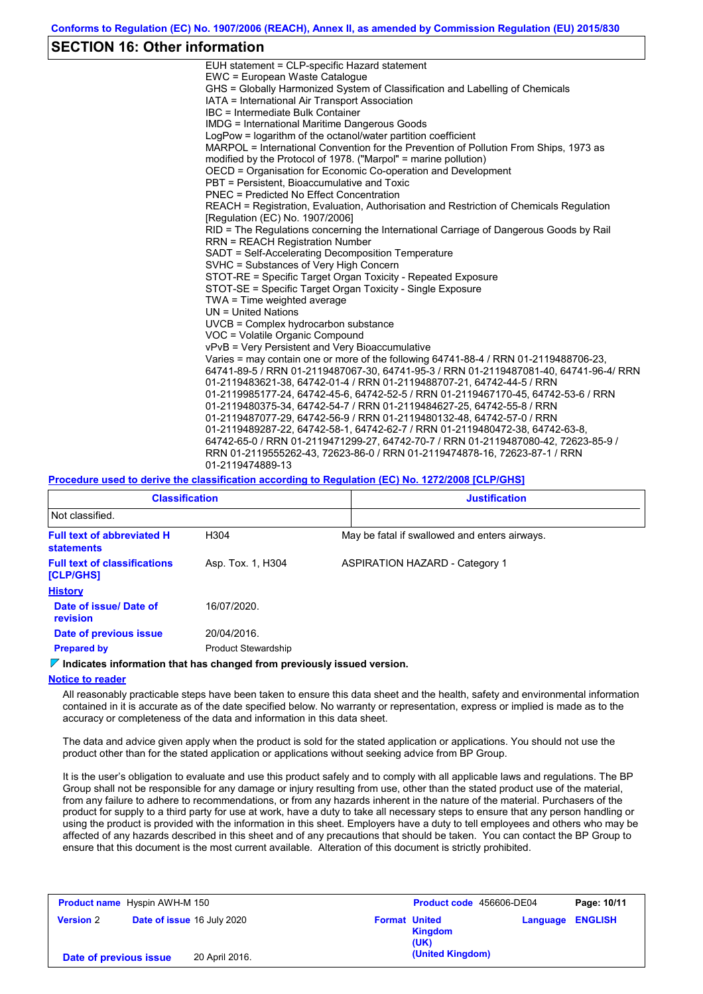## **SECTION 16: Other information**

| EUH statement = CLP-specific Hazard statement                                           |
|-----------------------------------------------------------------------------------------|
| EWC = European Waste Catalogue                                                          |
| GHS = Globally Harmonized System of Classification and Labelling of Chemicals           |
| IATA = International Air Transport Association                                          |
| IBC = Intermediate Bulk Container                                                       |
| <b>IMDG = International Maritime Dangerous Goods</b>                                    |
| LogPow = logarithm of the octanol/water partition coefficient                           |
| MARPOL = International Convention for the Prevention of Pollution From Ships, 1973 as   |
| modified by the Protocol of 1978. ("Marpol" = marine pollution)                         |
| OECD = Organisation for Economic Co-operation and Development                           |
| PBT = Persistent, Bioaccumulative and Toxic                                             |
| <b>PNEC = Predicted No Effect Concentration</b>                                         |
| REACH = Registration, Evaluation, Authorisation and Restriction of Chemicals Regulation |
| [Requlation (EC) No. 1907/2006]                                                         |
| RID = The Regulations concerning the International Carriage of Dangerous Goods by Rail  |
| <b>RRN = REACH Registration Number</b>                                                  |
| SADT = Self-Accelerating Decomposition Temperature                                      |
| SVHC = Substances of Very High Concern                                                  |
| STOT-RE = Specific Target Organ Toxicity - Repeated Exposure                            |
| STOT-SE = Specific Target Organ Toxicity - Single Exposure                              |
| TWA = Time weighted average                                                             |
| $UN = United Nations$                                                                   |
| UVCB = Complex hydrocarbon substance                                                    |
| VOC = Volatile Organic Compound                                                         |
| vPvB = Very Persistent and Very Bioaccumulative                                         |
| Varies = may contain one or more of the following 64741-88-4 / RRN 01-2119488706-23,    |
| 64741-89-5 / RRN 01-2119487067-30, 64741-95-3 / RRN 01-2119487081-40, 64741-96-4/ RRN   |
| 01-2119483621-38, 64742-01-4 / RRN 01-2119488707-21, 64742-44-5 / RRN                   |
| 01-2119985177-24, 64742-45-6, 64742-52-5 / RRN 01-2119467170-45, 64742-53-6 / RRN       |
| 01-2119480375-34, 64742-54-7 / RRN 01-2119484627-25, 64742-55-8 / RRN                   |
| 01-2119487077-29, 64742-56-9 / RRN 01-2119480132-48, 64742-57-0 / RRN                   |
| 01-2119489287-22, 64742-58-1, 64742-62-7 / RRN 01-2119480472-38, 64742-63-8,            |
| 64742-65-0 / RRN 01-2119471299-27, 64742-70-7 / RRN 01-2119487080-42, 72623-85-9 /      |
| RRN 01-2119555262-43, 72623-86-0 / RRN 01-2119474878-16, 72623-87-1 / RRN               |
| 01-2119474889-13                                                                        |
|                                                                                         |

#### **Procedure used to derive the classification according to Regulation (EC) No. 1272/2008 [CLP/GHS]**

| <b>Classification</b>                                  |                            | <b>Justification</b>                          |  |  |
|--------------------------------------------------------|----------------------------|-----------------------------------------------|--|--|
| Not classified.                                        |                            |                                               |  |  |
| <b>Full text of abbreviated H</b><br><b>statements</b> | H304                       | May be fatal if swallowed and enters airways. |  |  |
| <b>Full text of classifications</b><br>[CLP/GHS]       | Asp. Tox. 1, H304          | <b>ASPIRATION HAZARD - Category 1</b>         |  |  |
| <b>History</b>                                         |                            |                                               |  |  |
| Date of issue/Date of<br>revision                      | 16/07/2020.                |                                               |  |  |
| Date of previous issue                                 | 20/04/2016.                |                                               |  |  |
| <b>Prepared by</b>                                     | <b>Product Stewardship</b> |                                               |  |  |

### **Indicates information that has changed from previously issued version.**

#### **Notice to reader**

All reasonably practicable steps have been taken to ensure this data sheet and the health, safety and environmental information contained in it is accurate as of the date specified below. No warranty or representation, express or implied is made as to the accuracy or completeness of the data and information in this data sheet.

The data and advice given apply when the product is sold for the stated application or applications. You should not use the product other than for the stated application or applications without seeking advice from BP Group.

It is the user's obligation to evaluate and use this product safely and to comply with all applicable laws and regulations. The BP Group shall not be responsible for any damage or injury resulting from use, other than the stated product use of the material, from any failure to adhere to recommendations, or from any hazards inherent in the nature of the material. Purchasers of the product for supply to a third party for use at work, have a duty to take all necessary steps to ensure that any person handling or using the product is provided with the information in this sheet. Employers have a duty to tell employees and others who may be affected of any hazards described in this sheet and of any precautions that should be taken. You can contact the BP Group to ensure that this document is the most current available. Alteration of this document is strictly prohibited.

| <b>Product name</b> Hyspin AWH-M 150 |                                   |                      | Product code 456606-DE04 |                         | Page: 10/11 |
|--------------------------------------|-----------------------------------|----------------------|--------------------------|-------------------------|-------------|
| <b>Version 2</b>                     | <b>Date of issue 16 July 2020</b> | <b>Format United</b> | <b>Kingdom</b><br>(UK)   | <b>Language ENGLISH</b> |             |
| Date of previous issue               | 20 April 2016.                    |                      | (United Kingdom)         |                         |             |